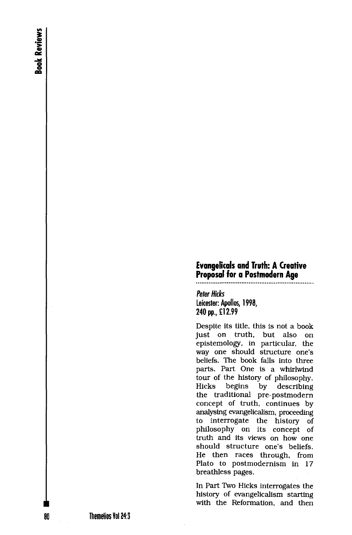## **Evangelicals and Truth: A Creative Proposal for a Postmodern Age**

*Peter Hicks* 

**Leicester: Apollos, 1998, 240 pp., £12.99** 

Despite its title, this is not a book just on truth, but also on epistemology, in particular, the way one should structure one's beliefs. The book falls into three parts. Part One is a whirlwind tour of the history of philosophy. Hicks begins by describing the traditional pre-postmodern concept of truth, continues by analysing evangelicalism, proceeding to interrogate the history of philosophy on its concept of truth and its views on how one should structure one's beliefs. He then races through, from Plato to postmodernism in 17 breathless pages.

In Part Two Hicks interrogates the history of evangelicalism starting with the Reformation, and then